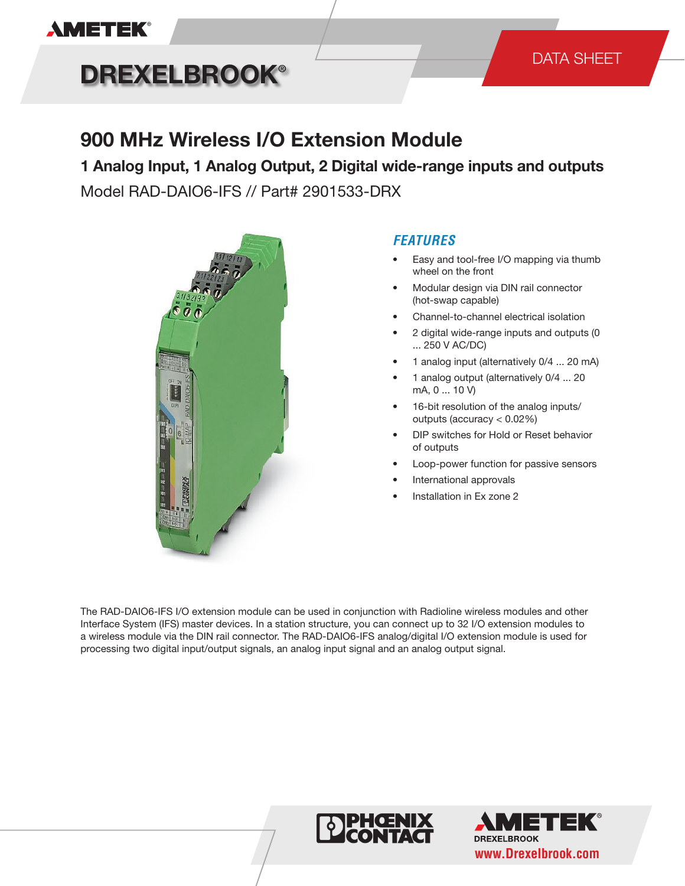

# **DREXELBROOK®**

#### DATA SHEET

### **900 MHz Wireless I/O Extension Module**

**1 Analog Input, 1 Analog Output, 2 Digital wide-range inputs and outputs** Model RAD-DAIO6-IFS // Part# 2901533-DRX



#### *FEATURES*

- Easy and tool-free I/O mapping via thumb wheel on the front
- Modular design via DIN rail connector (hot-swap capable)
- Channel-to-channel electrical isolation
- 2 digital wide-range inputs and outputs (0 ... 250 V AC/DC)
- 1 analog input (alternatively 0/4 ... 20 mA)
- 1 analog output (alternatively 0/4 ... 20 mA, 0 ... 10 V)
- 16-bit resolution of the analog inputs/ outputs (accuracy < 0.02%)
- DIP switches for Hold or Reset behavior of outputs
- Loop-power function for passive sensors
- International approvals
- Installation in Ex zone 2

The RAD-DAIO6-IFS I/O extension module can be used in conjunction with Radioline wireless modules and other Interface System (IFS) master devices. In a station structure, you can connect up to 32 I/O extension modules to a wireless module via the DIN rail connector. The RAD-DAIO6-IFS analog/digital I/O extension module is used for processing two digital input/output signals, an analog input signal and an analog output signal.



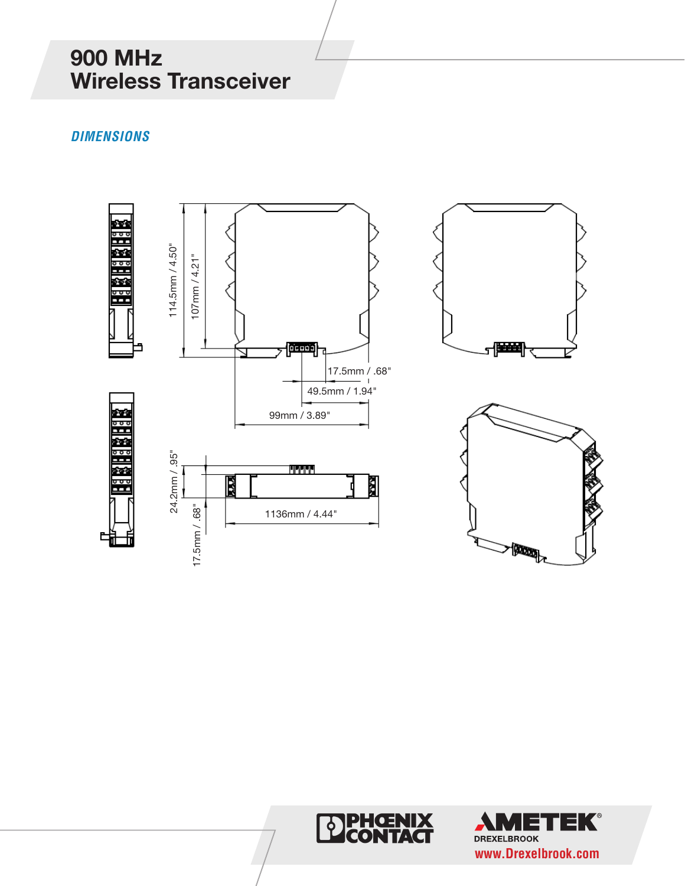# **900 MHz Wireless Transceiver**

#### *DIMENSIONS*





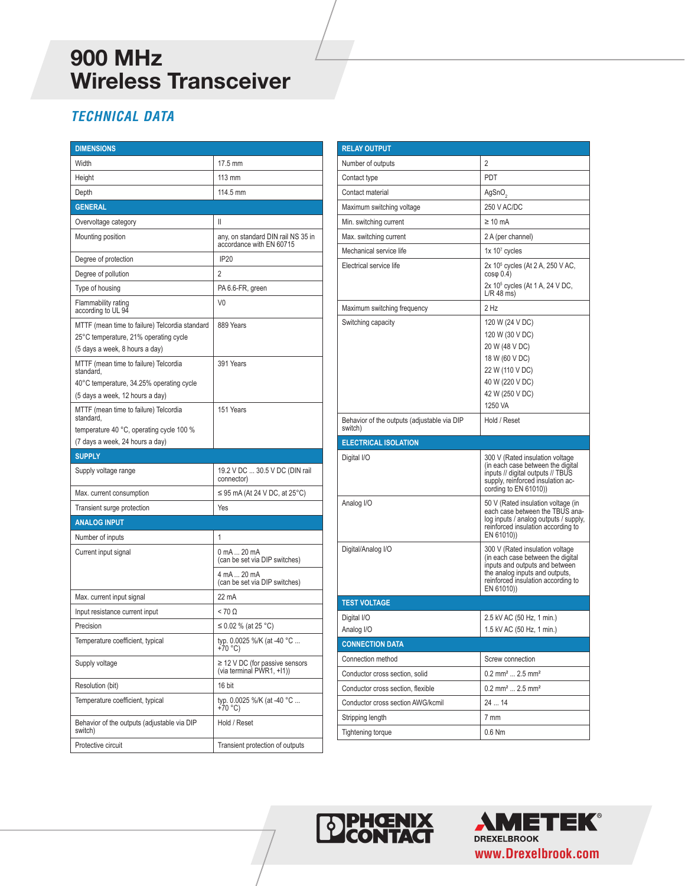# **900 MHz Wireless Transceiver**

### *TECHNICAL DATA*

| <b>DIMENSIONS</b>                                                                                                                 |                                                                  |
|-----------------------------------------------------------------------------------------------------------------------------------|------------------------------------------------------------------|
| Width                                                                                                                             | 17.5 mm                                                          |
| Height                                                                                                                            | 113 mm                                                           |
| Depth                                                                                                                             | 114.5 mm                                                         |
| <b>GENERAL</b>                                                                                                                    |                                                                  |
| Overvoltage category                                                                                                              | Ш                                                                |
| Mounting position                                                                                                                 | any, on standard DIN rail NS 35 in<br>accordance with EN 60715   |
| Degree of protection                                                                                                              | <b>IP20</b>                                                      |
| Degree of pollution                                                                                                               | 2                                                                |
| Type of housing                                                                                                                   | PA 6.6-FR, green                                                 |
| Flammability rating<br>according to UL 94                                                                                         | V <sub>0</sub>                                                   |
| MTTF (mean time to failure) Telcordia standard<br>25°C temperature, 21% operating cycle<br>(5 days a week, 8 hours a day)         | 889 Years                                                        |
| MTTF (mean time to failure) Telcordia<br>standard,<br>40°C temperature, 34.25% operating cycle<br>(5 days a week, 12 hours a day) | 391 Years                                                        |
| MTTF (mean time to failure) Telcordia<br>standard.                                                                                | 151 Years                                                        |
| temperature 40 °C, operating cycle 100 %<br>(7 days a week, 24 hours a day)                                                       |                                                                  |
|                                                                                                                                   |                                                                  |
|                                                                                                                                   |                                                                  |
| <b>SUPPLY</b><br>Supply voltage range                                                                                             | 19.2 V DC  30.5 V DC (DIN rail<br>connector)                     |
| Max. current consumption                                                                                                          | $\leq$ 95 mA (At 24 V DC, at 25°C)                               |
| Transient surge protection                                                                                                        | Yes                                                              |
| <b>ANALOG INPUT</b>                                                                                                               |                                                                  |
| Number of inputs                                                                                                                  | 1                                                                |
| Current input signal                                                                                                              | 0 mA  20 mA<br>(can be set via DIP switches)                     |
|                                                                                                                                   | 4 mA  20 mA<br>(can be set via DIP switches)                     |
| Max. current input signal                                                                                                         | 22 mA                                                            |
| Input resistance current input                                                                                                    | $< 70 \Omega$                                                    |
| Precision                                                                                                                         | ≤ 0.02 % (at 25 °C)                                              |
| Temperature coefficient, typical                                                                                                  | typ. 0.0025 %/K (at -40 °C<br>+70 °C)                            |
| Supply voltage                                                                                                                    | $\geq$ 12 V DC (for passive sensors<br>(via terminal PWR1, +I1)) |
| Resolution (bit)                                                                                                                  | 16 bit                                                           |
| Temperature coefficient, typical                                                                                                  | typ. 0.0025 %/K (at -40 °C<br>+70 °C)                            |
| Behavior of the outputs (adjustable via DIP<br>switch)                                                                            | Hold / Reset                                                     |

| <b>RELAY OUTPUT</b>                         |                                                                                                                                                                                               |
|---------------------------------------------|-----------------------------------------------------------------------------------------------------------------------------------------------------------------------------------------------|
| Number of outputs                           | 2                                                                                                                                                                                             |
| Contact type                                | PDT                                                                                                                                                                                           |
| Contact material                            | AgSnO <sub>2</sub>                                                                                                                                                                            |
| Maximum switching voltage                   | 250 V AC/DC                                                                                                                                                                                   |
| Min. switching current                      | $\geq 10$ mA                                                                                                                                                                                  |
| Max. switching current                      | 2 A (per channel)                                                                                                                                                                             |
| Mechanical service life                     | $1x 107$ cycles                                                                                                                                                                               |
| Electrical service life                     | 2x 10 <sup>5</sup> cycles (At 2 A, 250 V AC,<br>$cos\varphi$ 0.4)<br>2x 10 <sup>5</sup> cycles (At 1 A, 24 V DC,                                                                              |
|                                             | $L/R$ 48 ms)                                                                                                                                                                                  |
| Maximum switching frequency                 | $2$ Hz                                                                                                                                                                                        |
| Switching capacity                          | 120 W (24 V DC)<br>120 W (30 V DC)<br>20 W (48 V DC)<br>18 W (60 V DC)<br>22 W (110 V DC)<br>40 W (220 V DC)<br>42 W (250 V DC)<br>1250 VA                                                    |
| Behavior of the outputs (adjustable via DIP | Hold / Reset                                                                                                                                                                                  |
| switch)                                     |                                                                                                                                                                                               |
| <b>ELECTRICAL ISOLATION</b>                 |                                                                                                                                                                                               |
| Digital I/O                                 | 300 V (Rated insulation voltage<br>(in each case between the digital<br>inputs // digital outputs // TBUS<br>supply, reinforced insulation ac-<br>cording to EN 61010)                        |
| Analog I/O                                  | 50 V (Rated insulation voltage (in<br>each case between the TBUS ana-                                                                                                                         |
|                                             | log inputs / analog outputs / supply,<br>reinforced insulation according to<br>EN 61010)                                                                                                      |
| Digital/Analog I/O                          | 300 V (Rated insulation voltage)<br>(in each case between the digital<br>inputs and outputs and between<br>the analog inputs and outputs,<br>reinforced insulation according to<br>EN 61010)) |
| <b>TEST VOLTAGE</b>                         |                                                                                                                                                                                               |
| Digital I/O                                 | 2.5 kV AC (50 Hz, 1 min.)                                                                                                                                                                     |
| Analog I/O                                  | 1.5 kV AC (50 Hz, 1 min.)                                                                                                                                                                     |
| <b>CONNECTION DATA</b>                      |                                                                                                                                                                                               |
| Connection method                           | Screw connection                                                                                                                                                                              |
| Conductor cross section, solid              | $0.2$ mm <sup>2</sup> 2.5 mm <sup>2</sup>                                                                                                                                                     |
| Conductor cross section, flexible           | $0.2$ mm <sup>2</sup> 2.5 mm <sup>2</sup>                                                                                                                                                     |
| Conductor cross section AWG/kcmil           | 2414                                                                                                                                                                                          |
| Stripping length                            | 7 mm                                                                                                                                                                                          |